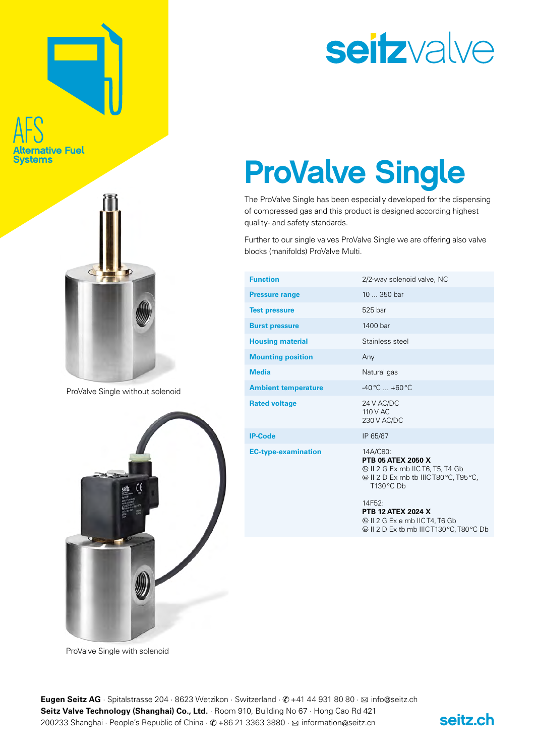## AFS hative Fuel rstems



ProValve Single without solenoid



### seitzvalve

### ProValve Single

The ProValve Single has been especially developed for the dispensing of compressed gas and this product is designed according highest quality- and safety standards.

Further to our single valves ProValve Single we are offering also valve blocks (manifolds) ProValve Multi.

| <b>Function</b>            | 2/2-way solenoid valve, NC                                    |  |
|----------------------------|---------------------------------------------------------------|--|
| <b>Pressure range</b>      | $10350$ bar                                                   |  |
| <b>Test pressure</b>       | 525 bar                                                       |  |
| <b>Burst pressure</b>      | 1400 bar                                                      |  |
| <b>Housing material</b>    | Stainless steel                                               |  |
| <b>Mounting position</b>   | Any                                                           |  |
| <b>Media</b>               | Natural gas                                                   |  |
| <b>Ambient temperature</b> | $-40\,^{\circ}\text{C}$ $+60\,^{\circ}\text{C}$               |  |
| <b>Rated voltage</b>       | 24 V AC/DC<br>110 V AC<br>230 V AC/DC                         |  |
| <b>IP-Code</b>             | IP 65/67                                                      |  |
| <b>EC-type-examination</b> | 14A/C80:<br><b>PTB 05 ATEX 2050 X</b><br>T130 °C Db<br>14F52: |  |
|                            | <b>PTB 12 ATEX 2024 X</b><br>SII 2 G Ex e mb IIC T4, T6 Gb    |  |

ProValve Single with solenoid



II 2 D Ex tb mb IIIC T130°C, T80°C Db